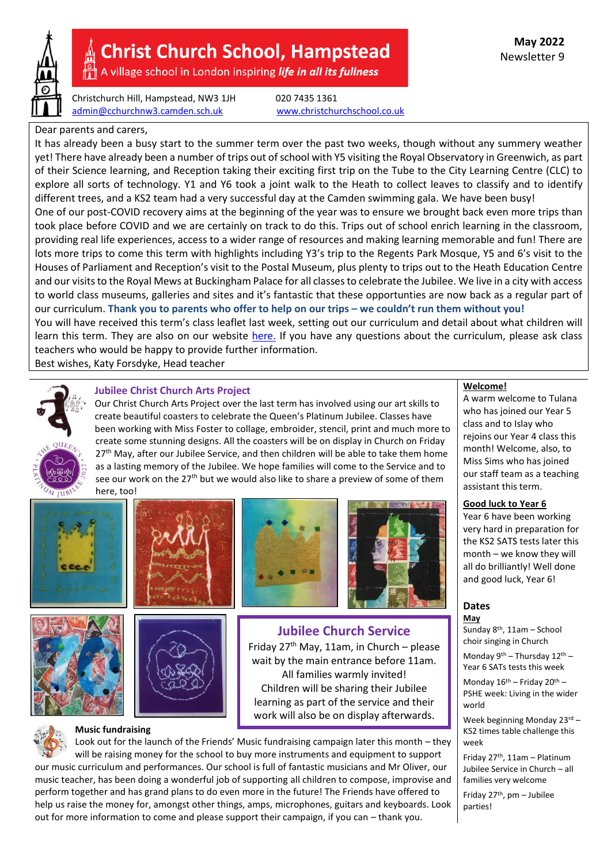

# **Christ Church School, Hampstead**

A village school in London inspiring life in all its fullness

Christchurch Hill, Hampstead, NW3 1JH 020 7435 1361 [admin@cchurchnw3.camden.sch.uk](mailto:admin@cchurchnw3.camden.sch.uk) [www.christchurchschool.co.uk](http://www.christchurchschool.co.uk/)

# Dear parents and carers,

It has already been a busy start to the summer term over the past two weeks, though without any summery weather yet! There have already been a number of trips out of school with Y5 visiting the Royal Observatory in Greenwich, as part of their Science learning, and Reception taking their exciting first trip on the Tube to the City Learning Centre (CLC) to explore all sorts of technology. Y1 and Y6 took a joint walk to the Heath to collect leaves to classify and to identify different trees, and a KS2 team had a very successful day at the Camden swimming gala. We have been busy! One of our post-COVID recovery aims at the beginning of the year was to ensure we brought back even more trips than took place before COVID and we are certainly on track to do this. Trips out of school enrich learning in the classroom, providing real life experiences, access to a wider range of resources and making learning memorable and fun! There are lots more trips to come this term with highlights including Y3's trip to the Regents Park Mosque, Y5 and 6's visit to the Houses of Parliament and Reception's visit to the Postal Museum, plus plenty to trips out to the Heath Education Centre and our visits to the Royal Mews at Buckingham Palace for all classes to celebrate the Jubilee. We live in a city with access to world class museums, galleries and sites and it's fantastic that these opportunties are now back as a regular part of our curriculum. **Thank you to parents who offer to help on our trips – we couldn't run them without you!** You will have received this term's class leaflet last week, setting out our curriculum and detail about what children will learn this term. They are also on our website [here.](https://christchurchschool.co.uk/parents/class-leaflets/) If you have any questions about the curriculum, please ask class teachers who would be happy to provide further information.

Best wishes, Katy Forsdyke, Head teacher



# **Jubilee Christ Church Arts Project**

Our Christ Church Arts Project over the last term has involved using our art skills to create beautiful coasters to celebrate the Queen's Platinum Jubilee. Classes have been working with Miss Foster to collage, embroider, stencil, print and much more to create some stunning designs. All the coasters will be on display in Church on Friday 27<sup>th</sup> May, after our Jubilee Service, and then children will be able to take them home as a lasting memory of the Jubilee. We hope families will come to the Service and to see our work on the  $27<sup>th</sup>$  but we would also like to share a preview of some of them here, too!

> **Jubilee Church Service** Friday  $27<sup>th</sup>$  May, 11am, in Church – please











## **Music fundraising**





# **Welcome!**

A warm welcome to Tulana who has joined our Year 5 class and to Islay who rejoins our Year 4 class this month! Welcome, also, to Miss Sims who has joined our staff team as a teaching assistant this term.

## **Good luck to Year 6**

Year 6 have been working very hard in preparation for the KS2 SATS tests later this month – we know they will all do brilliantly! Well done and good luck, Year 6!

#### **Dates May**

Sunday 8th, 11am – School choir singing in Church

Monday 9th – Thursday 12th – Year 6 SATs tests this week

Monday  $16^{\text{th}}$  – Friday  $20^{\text{th}}$  – PSHE week: Living in the wider world

Week beginning Monday 23rd -KS2 times table challenge this week

Friday 27th, 11am – Platinum Jubilee Service in Church – all families very welcome

Friday  $27<sup>th</sup>$ , pm – Jubilee parties!